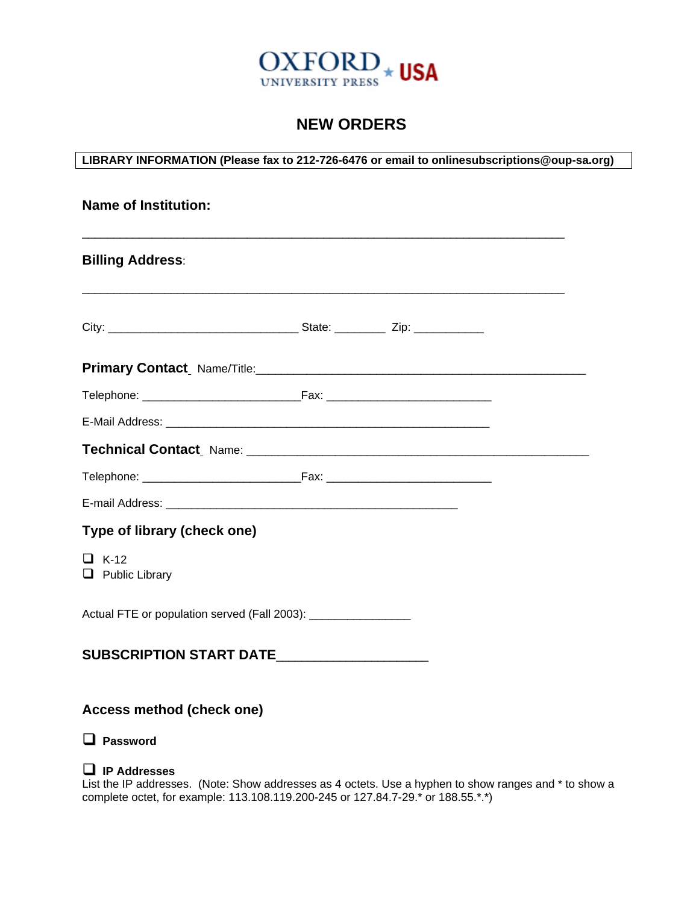

## **NEW ORDERS**

**LIBRARY INFORMATION (Please fax to 212-726-6476 or email to onlinesubscriptions@oup-sa.org)** 

| <b>Name of Institution:</b>                                    |  |  |  |
|----------------------------------------------------------------|--|--|--|
| <b>Billing Address:</b>                                        |  |  |  |
|                                                                |  |  |  |
|                                                                |  |  |  |
|                                                                |  |  |  |
|                                                                |  |  |  |
|                                                                |  |  |  |
|                                                                |  |  |  |
|                                                                |  |  |  |
| Type of library (check one)                                    |  |  |  |
| $\Box$ K-12<br>$\Box$ Public Library                           |  |  |  |
| Actual FTE or population served (Fall 2003): _________________ |  |  |  |
| SUBSCRIPTION START DATE                                        |  |  |  |
| Access method (check one)                                      |  |  |  |

**Password** 

## **IP Addresses**

List the IP addresses. (Note: Show addresses as 4 octets. Use a hyphen to show ranges and \* to show a complete octet, for example: 113.108.119.200-245 or 127.84.7-29.\* or 188.55.\*.\*)